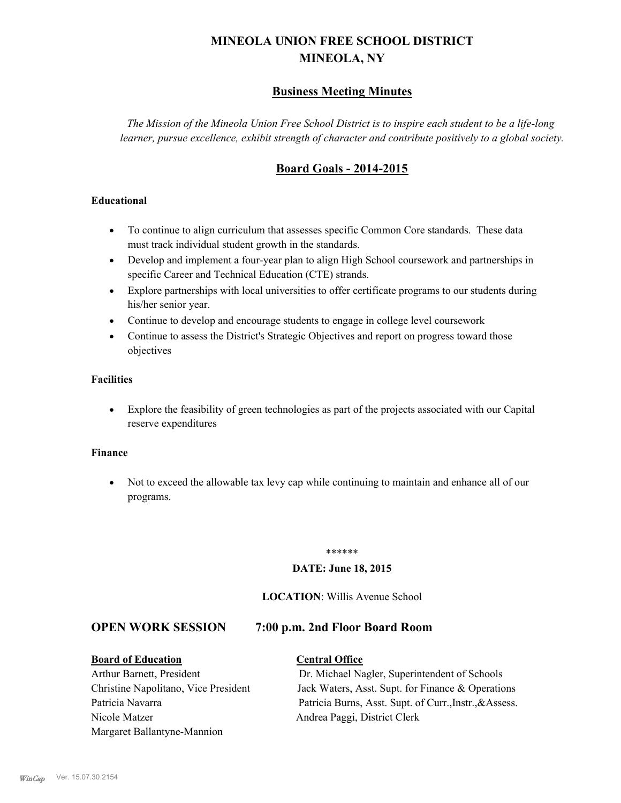## **MINEOLA UNION FREE SCHOOL DISTRICT MINEOLA, NY**

### **Business Meeting Minutes**

*The Mission of the Mineola Union Free School District is to inspire each student to be a life-long learner, pursue excellence, exhibit strength of character and contribute positively to a global society.*

### **Board Goals - 2014-2015**

#### **Educational**

- · To continue to align curriculum that assesses specific Common Core standards. These data must track individual student growth in the standards.
- · Develop and implement a four-year plan to align High School coursework and partnerships in specific Career and Technical Education (CTE) strands.
- · Explore partnerships with local universities to offer certificate programs to our students during his/her senior year.
- · Continue to develop and encourage students to engage in college level coursework
- Continue to assess the District's Strategic Objectives and report on progress toward those objectives

#### **Facilities**

· Explore the feasibility of green technologies as part of the projects associated with our Capital reserve expenditures

#### **Finance**

· Not to exceed the allowable tax levy cap while continuing to maintain and enhance all of our programs.

#### \*\*\*\*\*\*

#### **DATE: June 18, 2015**

#### **LOCATION**: Willis Avenue School

#### **OPEN WORK SESSION 7:00 p.m. 2nd Floor Board Room**

## **Board of Education Central Office**

# Nicole Matzer Andrea Paggi, District Clerk Margaret Ballantyne-Mannion

## Arthur Barnett, President Dr. Michael Nagler, Superintendent of Schools Christine Napolitano, Vice President Jack Waters, Asst. Supt. for Finance & Operations Patricia Navarra Patricia Burns, Asst. Supt. of Curr., Instr., &Assess.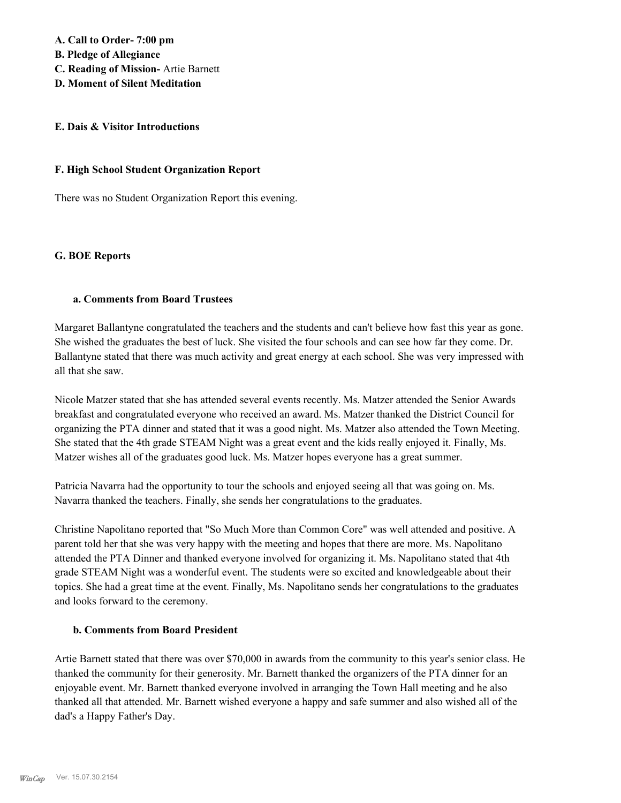**A. Call to Order- 7:00 pm** 

**B. Pledge of Allegiance**

- **C. Reading of Mission-** Artie Barnett
- **D. Moment of Silent Meditation**

#### **E. Dais & Visitor Introductions**

#### **F. High School Student Organization Report**

There was no Student Organization Report this evening.

#### **G. BOE Reports**

#### **a. Comments from Board Trustees**

Margaret Ballantyne congratulated the teachers and the students and can't believe how fast this year as gone. She wished the graduates the best of luck. She visited the four schools and can see how far they come. Dr. Ballantyne stated that there was much activity and great energy at each school. She was very impressed with all that she saw.

Nicole Matzer stated that she has attended several events recently. Ms. Matzer attended the Senior Awards breakfast and congratulated everyone who received an award. Ms. Matzer thanked the District Council for organizing the PTA dinner and stated that it was a good night. Ms. Matzer also attended the Town Meeting. She stated that the 4th grade STEAM Night was a great event and the kids really enjoyed it. Finally, Ms. Matzer wishes all of the graduates good luck. Ms. Matzer hopes everyone has a great summer.

Patricia Navarra had the opportunity to tour the schools and enjoyed seeing all that was going on. Ms. Navarra thanked the teachers. Finally, she sends her congratulations to the graduates.

Christine Napolitano reported that "So Much More than Common Core" was well attended and positive. A parent told her that she was very happy with the meeting and hopes that there are more. Ms. Napolitano attended the PTA Dinner and thanked everyone involved for organizing it. Ms. Napolitano stated that 4th grade STEAM Night was a wonderful event. The students were so excited and knowledgeable about their topics. She had a great time at the event. Finally, Ms. Napolitano sends her congratulations to the graduates and looks forward to the ceremony.

#### **b. Comments from Board President**

Artie Barnett stated that there was over \$70,000 in awards from the community to this year's senior class. He thanked the community for their generosity. Mr. Barnett thanked the organizers of the PTA dinner for an enjoyable event. Mr. Barnett thanked everyone involved in arranging the Town Hall meeting and he also thanked all that attended. Mr. Barnett wished everyone a happy and safe summer and also wished all of the dad's a Happy Father's Day.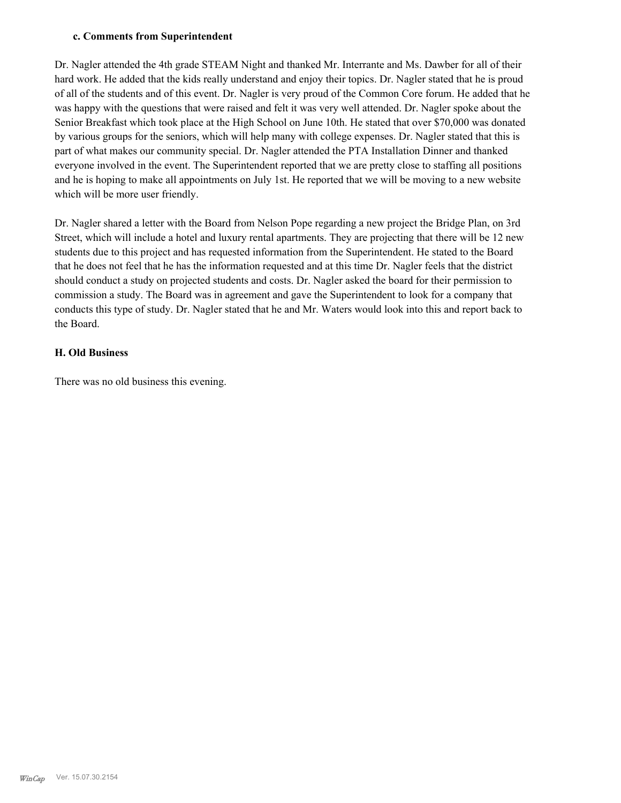#### **c. Comments from Superintendent**

Dr. Nagler attended the 4th grade STEAM Night and thanked Mr. Interrante and Ms. Dawber for all of their hard work. He added that the kids really understand and enjoy their topics. Dr. Nagler stated that he is proud of all of the students and of this event. Dr. Nagler is very proud of the Common Core forum. He added that he was happy with the questions that were raised and felt it was very well attended. Dr. Nagler spoke about the Senior Breakfast which took place at the High School on June 10th. He stated that over \$70,000 was donated by various groups for the seniors, which will help many with college expenses. Dr. Nagler stated that this is part of what makes our community special. Dr. Nagler attended the PTA Installation Dinner and thanked everyone involved in the event. The Superintendent reported that we are pretty close to staffing all positions and he is hoping to make all appointments on July 1st. He reported that we will be moving to a new website which will be more user friendly.

Dr. Nagler shared a letter with the Board from Nelson Pope regarding a new project the Bridge Plan, on 3rd Street, which will include a hotel and luxury rental apartments. They are projecting that there will be 12 new students due to this project and has requested information from the Superintendent. He stated to the Board that he does not feel that he has the information requested and at this time Dr. Nagler feels that the district should conduct a study on projected students and costs. Dr. Nagler asked the board for their permission to commission a study. The Board was in agreement and gave the Superintendent to look for a company that conducts this type of study. Dr. Nagler stated that he and Mr. Waters would look into this and report back to the Board.

#### **H. Old Business**

There was no old business this evening.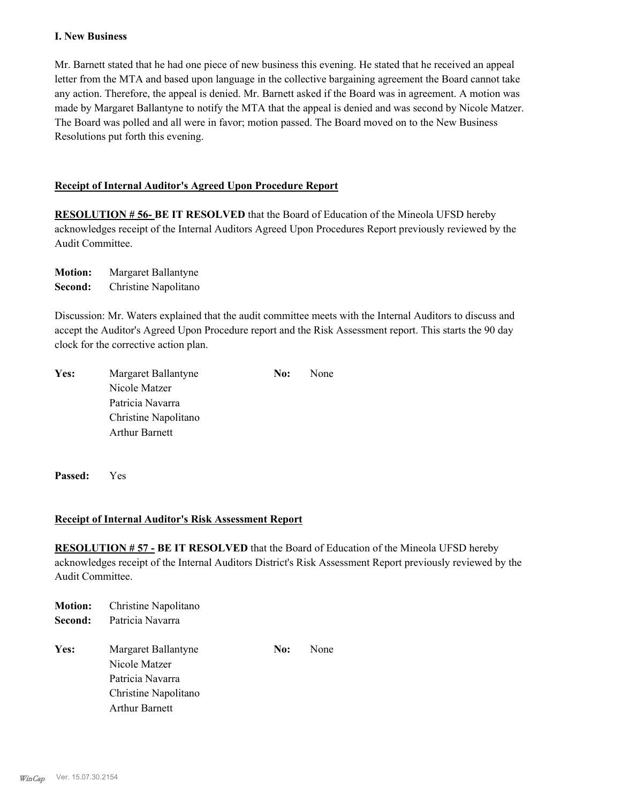#### **I. New Business**

Mr. Barnett stated that he had one piece of new business this evening. He stated that he received an appeal letter from the MTA and based upon language in the collective bargaining agreement the Board cannot take any action. Therefore, the appeal is denied. Mr. Barnett asked if the Board was in agreement. A motion was made by Margaret Ballantyne to notify the MTA that the appeal is denied and was second by Nicole Matzer. The Board was polled and all were in favor; motion passed. The Board moved on to the New Business Resolutions put forth this evening.

#### **Receipt of Internal Auditor's Agreed Upon Procedure Report**

**RESOLUTION # 56- BE IT RESOLVED** that the Board of Education of the Mineola UFSD hereby acknowledges receipt of the Internal Auditors Agreed Upon Procedures Report previously reviewed by the Audit Committee.

**Motion:** Margaret Ballantyne **Second:** Christine Napolitano

Discussion: Mr. Waters explained that the audit committee meets with the Internal Auditors to discuss and accept the Auditor's Agreed Upon Procedure report and the Risk Assessment report. This starts the 90 day clock for the corrective action plan.

| Yes: | Margaret Ballantyne   | No: | None |
|------|-----------------------|-----|------|
|      | Nicole Matzer         |     |      |
|      | Patricia Navarra      |     |      |
|      | Christine Napolitano  |     |      |
|      | <b>Arthur Barnett</b> |     |      |

**Passed:** Yes

#### **Receipt of Internal Auditor's Risk Assessment Report**

**RESOLUTION # 57 - BE IT RESOLVED** that the Board of Education of the Mineola UFSD hereby acknowledges receipt of the Internal Auditors District's Risk Assessment Report previously reviewed by the Audit Committee.

| <b>Motion:</b> | Christine Napolitano  |     |      |
|----------------|-----------------------|-----|------|
| Second:        | Patricia Navarra      |     |      |
| Yes:           | Margaret Ballantyne   | No: | None |
|                | Nicole Matzer         |     |      |
|                | Patricia Navarra      |     |      |
|                | Christine Napolitano  |     |      |
|                | <b>Arthur Barnett</b> |     |      |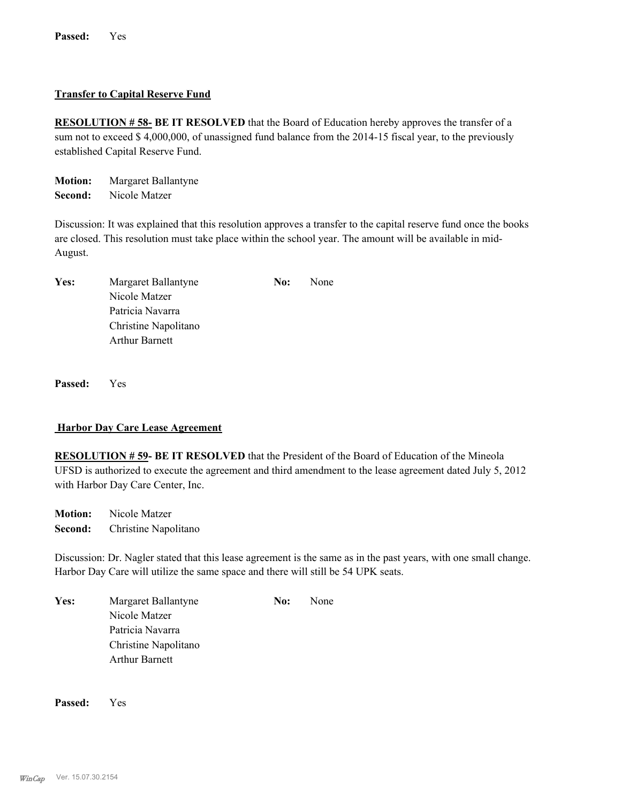#### **Transfer to Capital Reserve Fund**

**RESOLUTION # 58- BE IT RESOLVED** that the Board of Education hereby approves the transfer of a sum not to exceed \$4,000,000, of unassigned fund balance from the 2014-15 fiscal year, to the previously established Capital Reserve Fund.

**Motion:** Margaret Ballantyne **Second:** Nicole Matzer

Discussion: It was explained that this resolution approves a transfer to the capital reserve fund once the books are closed. This resolution must take place within the school year. The amount will be available in mid-August.

| Yes: | Margaret Ballantyne   | No: | None |
|------|-----------------------|-----|------|
|      | Nicole Matzer         |     |      |
|      | Patricia Navarra      |     |      |
|      | Christine Napolitano  |     |      |
|      | <b>Arthur Barnett</b> |     |      |

**Passed:** Yes

#### **Harbor Day Care Lease Agreement**

**RESOLUTION # 59- BE IT RESOLVED** that the President of the Board of Education of the Mineola UFSD is authorized to execute the agreement and third amendment to the lease agreement dated July 5, 2012 with Harbor Day Care Center, Inc.

**Motion:** Nicole Matzer **Second:** Christine Napolitano

Discussion: Dr. Nagler stated that this lease agreement is the same as in the past years, with one small change. Harbor Day Care will utilize the same space and there will still be 54 UPK seats.

Yes: Margaret Ballantyne **No:** None Nicole Matzer Patricia Navarra Christine Napolitano Arthur Barnett

**Passed:** Yes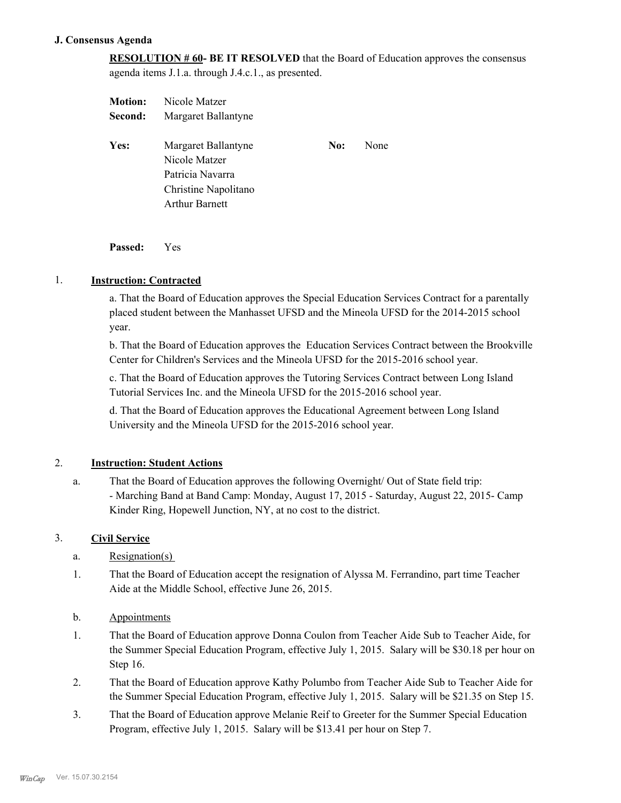#### **J. Consensus Agenda**

**RESOLUTION # 60- BE IT RESOLVED** that the Board of Education approves the consensus agenda items J.1.a. through J.4.c.1., as presented.

| <b>Motion:</b> | Nicole Matzer         |     |      |
|----------------|-----------------------|-----|------|
| Second:        | Margaret Ballantyne   |     |      |
| Yes:           | Margaret Ballantyne   | No: | None |
|                | Nicole Matzer         |     |      |
|                |                       |     |      |
|                | Patricia Navarra      |     |      |
|                | Christine Napolitano  |     |      |
|                | <b>Arthur Barnett</b> |     |      |

**Passed:** Yes

#### 1. **Instruction: Contracted**

a. That the Board of Education approves the Special Education Services Contract for a parentally placed student between the Manhasset UFSD and the Mineola UFSD for the 2014-2015 school year.

b. That the Board of Education approves the Education Services Contract between the Brookville Center for Children's Services and the Mineola UFSD for the 2015-2016 school year.

c. That the Board of Education approves the Tutoring Services Contract between Long Island Tutorial Services Inc. and the Mineola UFSD for the 2015-2016 school year.

d. That the Board of Education approves the Educational Agreement between Long Island University and the Mineola UFSD for the 2015-2016 school year.

#### 2. **Instruction: Student Actions**

That the Board of Education approves the following Overnight/ Out of State field trip: - Marching Band at Band Camp: Monday, August 17, 2015 - Saturday, August 22, 2015- Camp Kinder Ring, Hopewell Junction, NY, at no cost to the district. a.

#### 3. **Civil Service**

- a. Resignation(s)
- That the Board of Education accept the resignation of Alyssa M. Ferrandino, part time Teacher Aide at the Middle School, effective June 26, 2015. 1.
- b. Appointments
- That the Board of Education approve Donna Coulon from Teacher Aide Sub to Teacher Aide, for the Summer Special Education Program, effective July 1, 2015. Salary will be \$30.18 per hour on Step 16. 1.
- That the Board of Education approve Kathy Polumbo from Teacher Aide Sub to Teacher Aide for the Summer Special Education Program, effective July 1, 2015. Salary will be \$21.35 on Step 15. 2.
- That the Board of Education approve Melanie Reif to Greeter for the Summer Special Education Program, effective July 1, 2015. Salary will be \$13.41 per hour on Step 7. 3.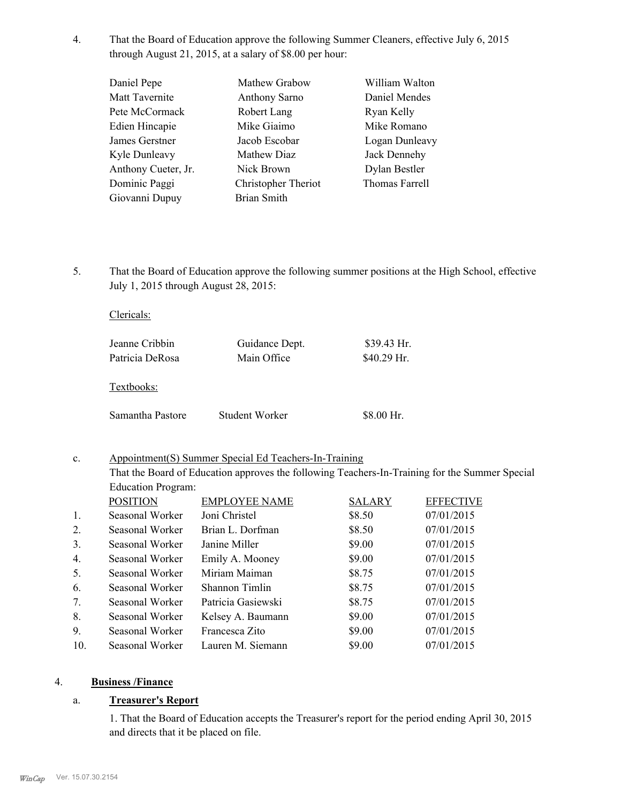That the Board of Education approve the following Summer Cleaners, effective July 6, 2015 through August 21, 2015, at a salary of \$8.00 per hour: 4.

| Daniel Pepe         | Mathew Grabow        | William Walton |
|---------------------|----------------------|----------------|
| Matt Tavernite      | <b>Anthony Sarno</b> | Daniel Mendes  |
| Pete McCormack      | Robert Lang          | Ryan Kelly     |
| Edien Hincapie      | Mike Giaimo          | Mike Romano    |
| James Gerstner      | Jacob Escobar        | Logan Dunleavy |
| Kyle Dunleavy       | Mathew Diaz          | Jack Dennehy   |
| Anthony Cueter, Jr. | Nick Brown           | Dylan Bestler  |
| Dominic Paggi       | Christopher Theriot  | Thomas Farrell |
| Giovanni Dupuy      | <b>Brian Smith</b>   |                |
|                     |                      |                |

That the Board of Education approve the following summer positions at the High School, effective July 1, 2015 through August 28, 2015: 5.

| Jeanne Cribbin<br>Patricia DeRosa | Guidance Dept.<br>Main Office | $$39.43$ Hr.<br>$$40.29$ Hr. |
|-----------------------------------|-------------------------------|------------------------------|
| Textbooks:                        |                               |                              |
| Samantha Pastore                  | Student Worker                | \$8.00 Hr.                   |

#### Appointment(S) Summer Special Ed Teachers-In-Training c.

That the Board of Education approves the following Teachers-In-Training for the Summer Special Education Program:

|     | <b>POSITION</b> | <b>EMPLOYEE NAME</b> | <b>SALARY</b> | <b>EFFECTIVE</b> |
|-----|-----------------|----------------------|---------------|------------------|
| 1.  | Seasonal Worker | Joni Christel        | \$8.50        | 07/01/2015       |
| 2.  | Seasonal Worker | Brian L. Dorfman     | \$8.50        | 07/01/2015       |
| 3.  | Seasonal Worker | Janine Miller        | \$9.00        | 07/01/2015       |
| 4.  | Seasonal Worker | Emily A. Mooney      | \$9.00        | 07/01/2015       |
| 5.  | Seasonal Worker | Miriam Maiman        | \$8.75        | 07/01/2015       |
| 6.  | Seasonal Worker | Shannon Timlin       | \$8.75        | 07/01/2015       |
| 7.  | Seasonal Worker | Patricia Gasiewski   | \$8.75        | 07/01/2015       |
| 8.  | Seasonal Worker | Kelsey A. Baumann    | \$9.00        | 07/01/2015       |
| 9.  | Seasonal Worker | Francesca Zito       | \$9.00        | 07/01/2015       |
| 10. | Seasonal Worker | Lauren M. Siemann    | \$9.00        | 07/01/2015       |

#### 4. **Business /Finance**

#### a. **Treasurer's Report**

Clericals:

1. That the Board of Education accepts the Treasurer's report for the period ending April 30, 2015 and directs that it be placed on file.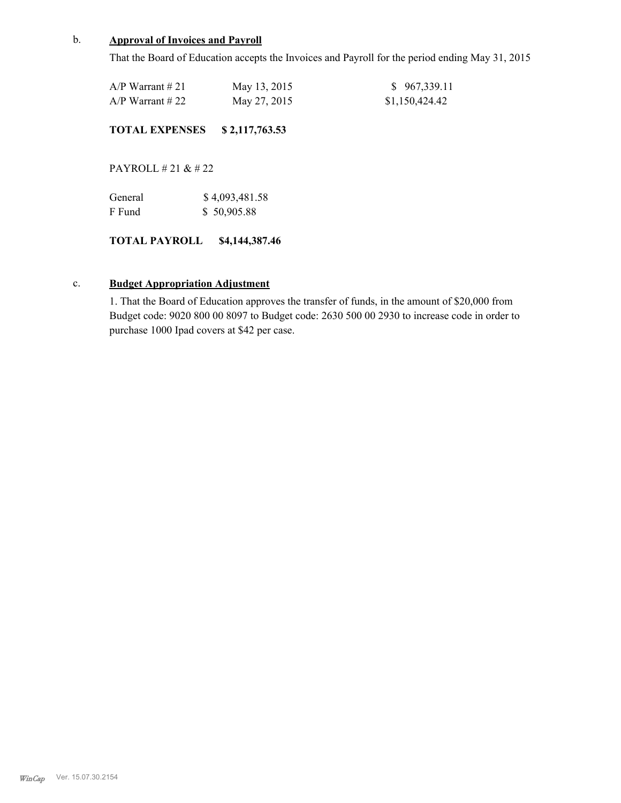#### b. **Approval of Invoices and Payroll**

That the Board of Education accepts the Invoices and Payroll for the period ending May 31, 2015

| $A/P$ Warrant # 21 | May 13, 2015 | \$967,339.11   |
|--------------------|--------------|----------------|
| $A/P$ Warrant # 22 | May 27, 2015 | \$1,150,424.42 |

#### **TOTAL EXPENSES \$ 2,117,763.53**

PAYROLL # 21 & # 22

| General | \$4,093,481.58 |
|---------|----------------|
| F Fund  | \$50,905.88    |

#### **TOTAL PAYROLL \$4,144,387.46**

#### c. **Budget Appropriation Adjustment**

1. That the Board of Education approves the transfer of funds, in the amount of \$20,000 from Budget code: 9020 800 00 8097 to Budget code: 2630 500 00 2930 to increase code in order to purchase 1000 Ipad covers at \$42 per case.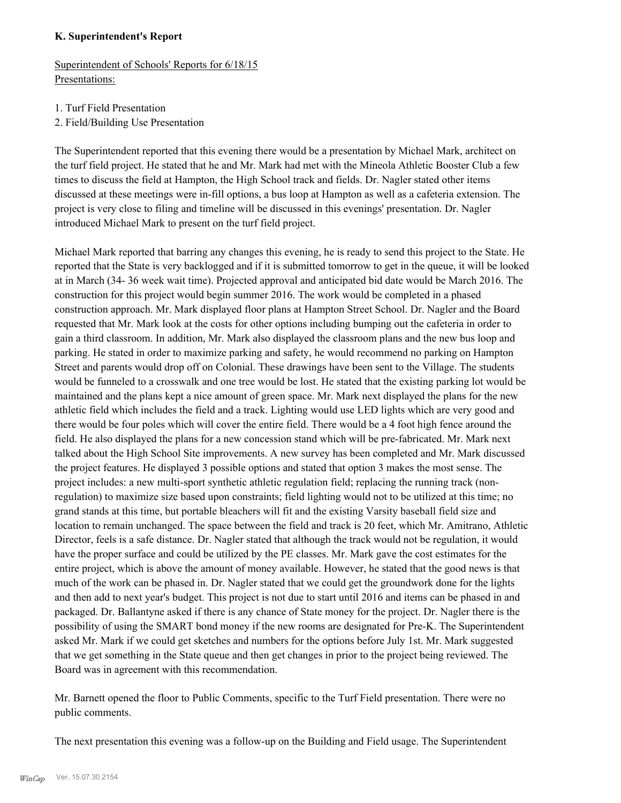#### **K. Superintendent's Report**

Superintendent of Schools' Reports for 6/18/15 Presentations:

- 1. Turf Field Presentation
- 2. Field/Building Use Presentation

The Superintendent reported that this evening there would be a presentation by Michael Mark, architect on the turf field project. He stated that he and Mr. Mark had met with the Mineola Athletic Booster Club a few times to discuss the field at Hampton, the High School track and fields. Dr. Nagler stated other items discussed at these meetings were in-fill options, a bus loop at Hampton as well as a cafeteria extension. The project is very close to filing and timeline will be discussed in this evenings' presentation. Dr. Nagler introduced Michael Mark to present on the turf field project.

Michael Mark reported that barring any changes this evening, he is ready to send this project to the State. He reported that the State is very backlogged and if it is submitted tomorrow to get in the queue, it will be looked at in March (34- 36 week wait time). Projected approval and anticipated bid date would be March 2016. The construction for this project would begin summer 2016. The work would be completed in a phased construction approach. Mr. Mark displayed floor plans at Hampton Street School. Dr. Nagler and the Board requested that Mr. Mark look at the costs for other options including bumping out the cafeteria in order to gain a third classroom. In addition, Mr. Mark also displayed the classroom plans and the new bus loop and parking. He stated in order to maximize parking and safety, he would recommend no parking on Hampton Street and parents would drop off on Colonial. These drawings have been sent to the Village. The students would be funneled to a crosswalk and one tree would be lost. He stated that the existing parking lot would be maintained and the plans kept a nice amount of green space. Mr. Mark next displayed the plans for the new athletic field which includes the field and a track. Lighting would use LED lights which are very good and there would be four poles which will cover the entire field. There would be a 4 foot high fence around the field. He also displayed the plans for a new concession stand which will be pre-fabricated. Mr. Mark next talked about the High School Site improvements. A new survey has been completed and Mr. Mark discussed the project features. He displayed 3 possible options and stated that option 3 makes the most sense. The project includes: a new multi-sport synthetic athletic regulation field; replacing the running track (nonregulation) to maximize size based upon constraints; field lighting would not to be utilized at this time; no grand stands at this time, but portable bleachers will fit and the existing Varsity baseball field size and location to remain unchanged. The space between the field and track is 20 feet, which Mr. Amitrano, Athletic Director, feels is a safe distance. Dr. Nagler stated that although the track would not be regulation, it would have the proper surface and could be utilized by the PE classes. Mr. Mark gave the cost estimates for the entire project, which is above the amount of money available. However, he stated that the good news is that much of the work can be phased in. Dr. Nagler stated that we could get the groundwork done for the lights and then add to next year's budget. This project is not due to start until 2016 and items can be phased in and packaged. Dr. Ballantyne asked if there is any chance of State money for the project. Dr. Nagler there is the possibility of using the SMART bond money if the new rooms are designated for Pre-K. The Superintendent asked Mr. Mark if we could get sketches and numbers for the options before July 1st. Mr. Mark suggested that we get something in the State queue and then get changes in prior to the project being reviewed. The Board was in agreement with this recommendation.

Mr. Barnett opened the floor to Public Comments, specific to the Turf Field presentation. There were no public comments.

The next presentation this evening was a follow-up on the Building and Field usage. The Superintendent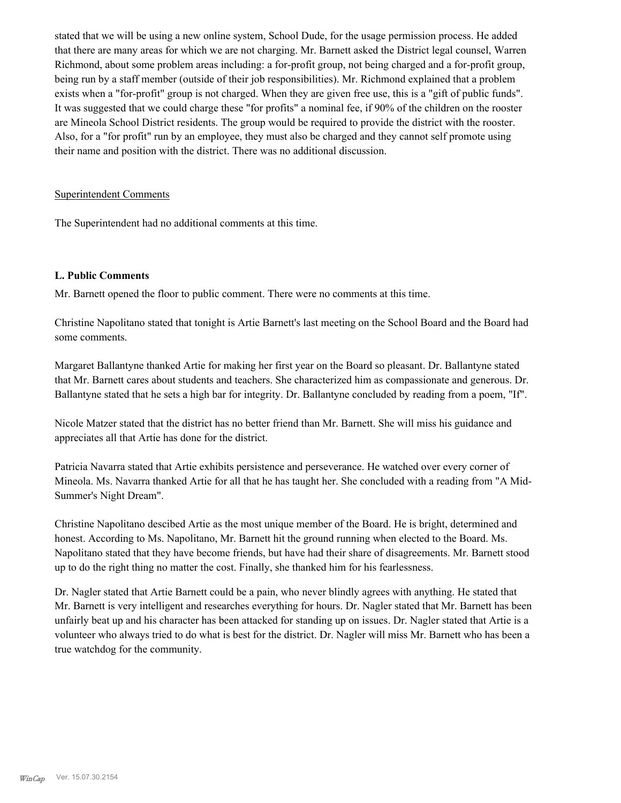stated that we will be using a new online system, School Dude, for the usage permission process. He added that there are many areas for which we are not charging. Mr. Barnett asked the District legal counsel, Warren Richmond, about some problem areas including: a for-profit group, not being charged and a for-profit group, being run by a staff member (outside of their job responsibilities). Mr. Richmond explained that a problem exists when a "for-profit" group is not charged. When they are given free use, this is a "gift of public funds". It was suggested that we could charge these "for profits" a nominal fee, if 90% of the children on the rooster are Mineola School District residents. The group would be required to provide the district with the rooster. Also, for a "for profit" run by an employee, they must also be charged and they cannot self promote using their name and position with the district. There was no additional discussion.

#### Superintendent Comments

The Superintendent had no additional comments at this time.

#### **L. Public Comments**

Mr. Barnett opened the floor to public comment. There were no comments at this time.

Christine Napolitano stated that tonight is Artie Barnett's last meeting on the School Board and the Board had some comments.

Margaret Ballantyne thanked Artie for making her first year on the Board so pleasant. Dr. Ballantyne stated that Mr. Barnett cares about students and teachers. She characterized him as compassionate and generous. Dr. Ballantyne stated that he sets a high bar for integrity. Dr. Ballantyne concluded by reading from a poem, "If".

Nicole Matzer stated that the district has no better friend than Mr. Barnett. She will miss his guidance and appreciates all that Artie has done for the district.

Patricia Navarra stated that Artie exhibits persistence and perseverance. He watched over every corner of Mineola. Ms. Navarra thanked Artie for all that he has taught her. She concluded with a reading from "A Mid-Summer's Night Dream".

Christine Napolitano descibed Artie as the most unique member of the Board. He is bright, determined and honest. According to Ms. Napolitano, Mr. Barnett hit the ground running when elected to the Board. Ms. Napolitano stated that they have become friends, but have had their share of disagreements. Mr. Barnett stood up to do the right thing no matter the cost. Finally, she thanked him for his fearlessness.

Dr. Nagler stated that Artie Barnett could be a pain, who never blindly agrees with anything. He stated that Mr. Barnett is very intelligent and researches everything for hours. Dr. Nagler stated that Mr. Barnett has been unfairly beat up and his character has been attacked for standing up on issues. Dr. Nagler stated that Artie is a volunteer who always tried to do what is best for the district. Dr. Nagler will miss Mr. Barnett who has been a true watchdog for the community.